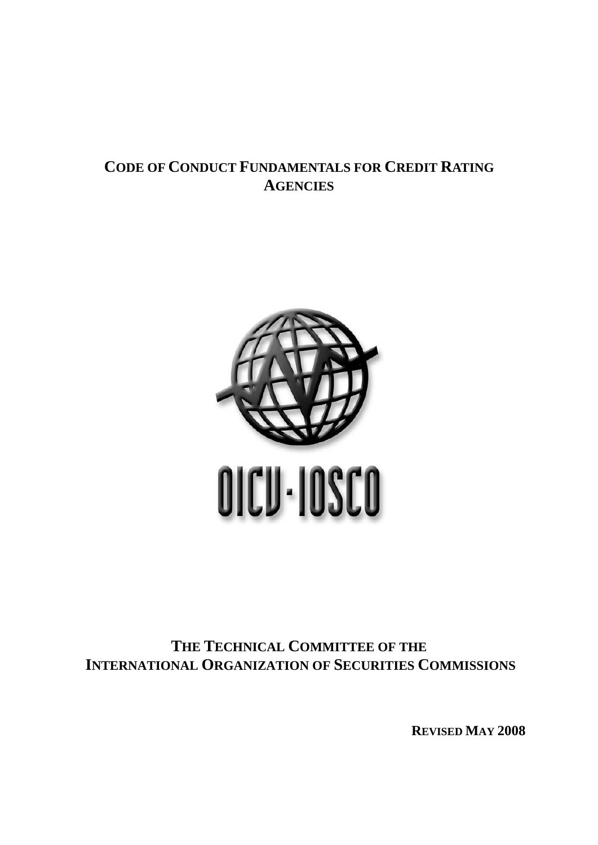# **CODE OF CONDUCT FUNDAMENTALS FOR CREDIT RATING AGENCIES**



# **THE TECHNICAL COMMITTEE OF THE INTERNATIONAL ORGANIZATION OF SECURITIES COMMISSIONS**

**REVISED MAY 2008**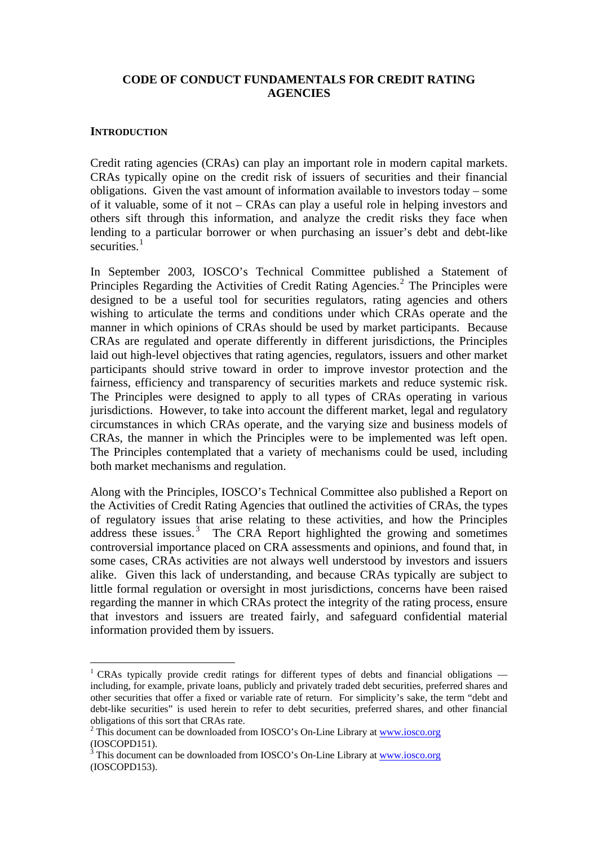## **CODE OF CONDUCT FUNDAMENTALS FOR CREDIT RATING AGENCIES**

#### **INTRODUCTION**

1

Credit rating agencies (CRAs) can play an important role in modern capital markets. CRAs typically opine on the credit risk of issuers of securities and their financial obligations. Given the vast amount of information available to investors today – some of it valuable, some of it not – CRAs can play a useful role in helping investors and others sift through this information, and analyze the credit risks they face when lending to a particular borrower or when purchasing an issuer's debt and debt-like securities $1$ 

In September 2003, IOSCO's Technical Committee published a Statement of Principles Regarding the Activities of Credit Rating Agencies.<sup>[2](#page-1-1)</sup> The Principles were designed to be a useful tool for securities regulators, rating agencies and others wishing to articulate the terms and conditions under which CRAs operate and the manner in which opinions of CRAs should be used by market participants. Because CRAs are regulated and operate differently in different jurisdictions, the Principles laid out high-level objectives that rating agencies, regulators, issuers and other market participants should strive toward in order to improve investor protection and the fairness, efficiency and transparency of securities markets and reduce systemic risk. The Principles were designed to apply to all types of CRAs operating in various jurisdictions. However, to take into account the different market, legal and regulatory circumstances in which CRAs operate, and the varying size and business models of CRAs, the manner in which the Principles were to be implemented was left open. The Principles contemplated that a variety of mechanisms could be used, including both market mechanisms and regulation.

Along with the Principles, IOSCO's Technical Committee also published a Report on the Activities of Credit Rating Agencies that outlined the activities of CRAs, the types of regulatory issues that arise relating to these activities, and how the Principles address these issues. $3$  The CRA Report highlighted the growing and sometimes controversial importance placed on CRA assessments and opinions, and found that, in some cases, CRAs activities are not always well understood by investors and issuers alike. Given this lack of understanding, and because CRAs typically are subject to little formal regulation or oversight in most jurisdictions, concerns have been raised regarding the manner in which CRAs protect the integrity of the rating process, ensure that investors and issuers are treated fairly, and safeguard confidential material information provided them by issuers.

<span id="page-1-0"></span><sup>&</sup>lt;sup>1</sup> CRAs typically provide credit ratings for different types of debts and financial obligations  $$ including, for example, private loans, publicly and privately traded debt securities, preferred shares and other securities that offer a fixed or variable rate of return. For simplicity's sake, the term "debt and debt-like securities" is used herein to refer to debt securities, preferred shares, and other financial obligations of this sort that CRAs rate.

<span id="page-1-1"></span><sup>&</sup>lt;sup>2</sup> This document can be downloaded from IOSCO's On-Line Library at [www.iosco.org](http://www.iosco.org/) (IOSCOPD151).

<span id="page-1-2"></span><sup>3</sup> This document can be downloaded from IOSCO's On-Line Library at [www.iosco.org](http://www.iosco.org/) (IOSCOPD153).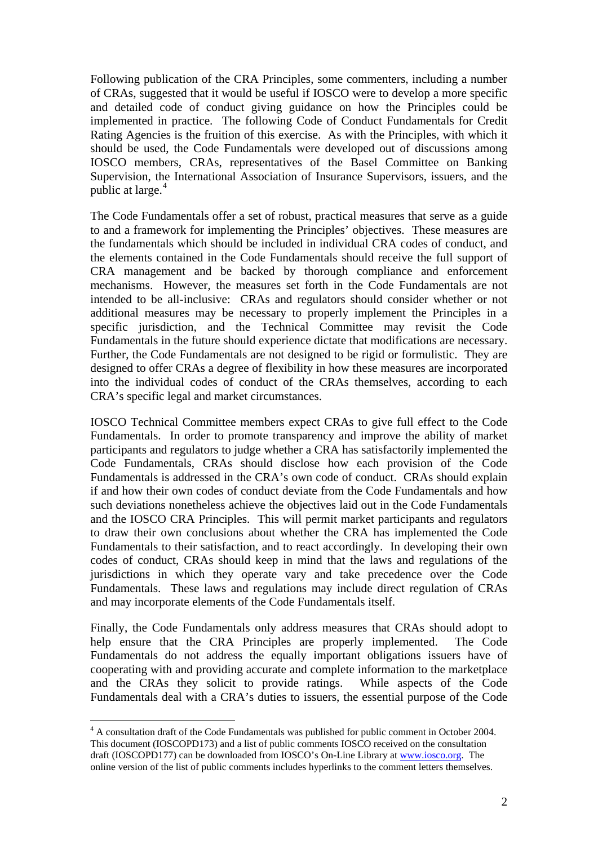Following publication of the CRA Principles, some commenters, including a number of CRAs, suggested that it would be useful if IOSCO were to develop a more specific and detailed code of conduct giving guidance on how the Principles could be implemented in practice. The following Code of Conduct Fundamentals for Credit Rating Agencies is the fruition of this exercise. As with the Principles, with which it should be used, the Code Fundamentals were developed out of discussions among IOSCO members, CRAs, representatives of the Basel Committee on Banking Supervision, the International Association of Insurance Supervisors, issuers, and the public at large.<sup>[4](#page-2-0)</sup>

The Code Fundamentals offer a set of robust, practical measures that serve as a guide to and a framework for implementing the Principles' objectives. These measures are the fundamentals which should be included in individual CRA codes of conduct, and the elements contained in the Code Fundamentals should receive the full support of CRA management and be backed by thorough compliance and enforcement mechanisms. However, the measures set forth in the Code Fundamentals are not intended to be all-inclusive: CRAs and regulators should consider whether or not additional measures may be necessary to properly implement the Principles in a specific jurisdiction, and the Technical Committee may revisit the Code Fundamentals in the future should experience dictate that modifications are necessary. Further, the Code Fundamentals are not designed to be rigid or formulistic. They are designed to offer CRAs a degree of flexibility in how these measures are incorporated into the individual codes of conduct of the CRAs themselves, according to each CRA's specific legal and market circumstances.

IOSCO Technical Committee members expect CRAs to give full effect to the Code Fundamentals. In order to promote transparency and improve the ability of market participants and regulators to judge whether a CRA has satisfactorily implemented the Code Fundamentals, CRAs should disclose how each provision of the Code Fundamentals is addressed in the CRA's own code of conduct. CRAs should explain if and how their own codes of conduct deviate from the Code Fundamentals and how such deviations nonetheless achieve the objectives laid out in the Code Fundamentals and the IOSCO CRA Principles. This will permit market participants and regulators to draw their own conclusions about whether the CRA has implemented the Code Fundamentals to their satisfaction, and to react accordingly. In developing their own codes of conduct, CRAs should keep in mind that the laws and regulations of the jurisdictions in which they operate vary and take precedence over the Code Fundamentals. These laws and regulations may include direct regulation of CRAs and may incorporate elements of the Code Fundamentals itself.

Finally, the Code Fundamentals only address measures that CRAs should adopt to help ensure that the CRA Principles are properly implemented. The Code Fundamentals do not address the equally important obligations issuers have of cooperating with and providing accurate and complete information to the marketplace and the CRAs they solicit to provide ratings. While aspects of the Code Fundamentals deal with a CRA's duties to issuers, the essential purpose of the Code

<span id="page-2-0"></span><sup>&</sup>lt;sup>4</sup> A consultation draft of the Code Fundamentals was published for public comment in October 2004. This document (IOSCOPD173) and a list of public comments IOSCO received on the consultation draft (IOSCOPD177) can be downloaded from IOSCO's On-Line Library at [www.iosco.org](http://www.iosco.org/). The online version of the list of public comments includes hyperlinks to the comment letters themselves.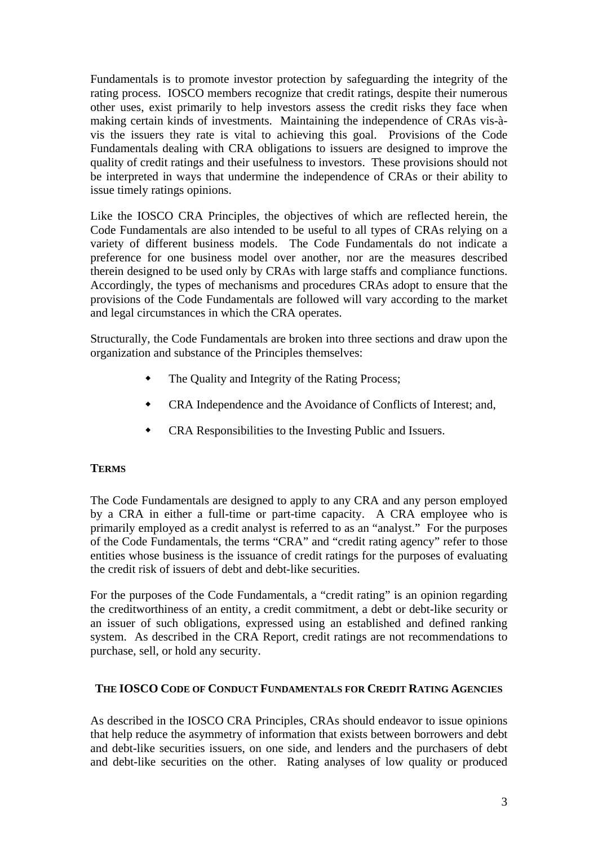Fundamentals is to promote investor protection by safeguarding the integrity of the rating process. IOSCO members recognize that credit ratings, despite their numerous other uses, exist primarily to help investors assess the credit risks they face when making certain kinds of investments. Maintaining the independence of CRAs vis-àvis the issuers they rate is vital to achieving this goal. Provisions of the Code Fundamentals dealing with CRA obligations to issuers are designed to improve the quality of credit ratings and their usefulness to investors. These provisions should not be interpreted in ways that undermine the independence of CRAs or their ability to issue timely ratings opinions.

Like the IOSCO CRA Principles, the objectives of which are reflected herein, the Code Fundamentals are also intended to be useful to all types of CRAs relying on a variety of different business models. The Code Fundamentals do not indicate a preference for one business model over another, nor are the measures described therein designed to be used only by CRAs with large staffs and compliance functions. Accordingly, the types of mechanisms and procedures CRAs adopt to ensure that the provisions of the Code Fundamentals are followed will vary according to the market and legal circumstances in which the CRA operates.

Structurally, the Code Fundamentals are broken into three sections and draw upon the organization and substance of the Principles themselves:

- The Quality and Integrity of the Rating Process;
- CRA Independence and the Avoidance of Conflicts of Interest; and,
- CRA Responsibilities to the Investing Public and Issuers.

# **TERMS**

The Code Fundamentals are designed to apply to any CRA and any person employed by a CRA in either a full-time or part-time capacity. A CRA employee who is primarily employed as a credit analyst is referred to as an "analyst." For the purposes of the Code Fundamentals, the terms "CRA" and "credit rating agency" refer to those entities whose business is the issuance of credit ratings for the purposes of evaluating the credit risk of issuers of debt and debt-like securities.

For the purposes of the Code Fundamentals, a "credit rating" is an opinion regarding the creditworthiness of an entity, a credit commitment, a debt or debt-like security or an issuer of such obligations, expressed using an established and defined ranking system. As described in the CRA Report, credit ratings are not recommendations to purchase, sell, or hold any security.

# **THE IOSCO CODE OF CONDUCT FUNDAMENTALS FOR CREDIT RATING AGENCIES**

As described in the IOSCO CRA Principles, CRAs should endeavor to issue opinions that help reduce the asymmetry of information that exists between borrowers and debt and debt-like securities issuers, on one side, and lenders and the purchasers of debt and debt-like securities on the other. Rating analyses of low quality or produced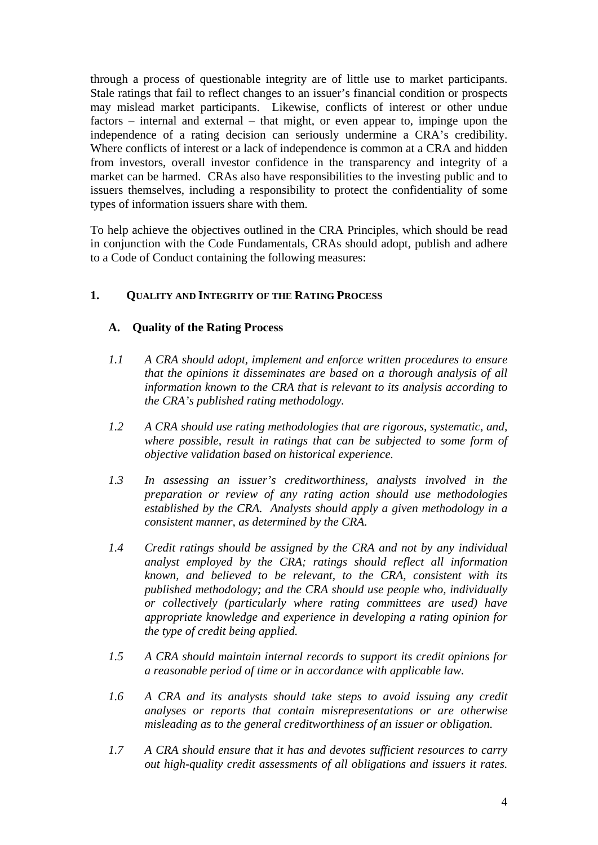through a process of questionable integrity are of little use to market participants. Stale ratings that fail to reflect changes to an issuer's financial condition or prospects may mislead market participants. Likewise, conflicts of interest or other undue factors – internal and external – that might, or even appear to, impinge upon the independence of a rating decision can seriously undermine a CRA's credibility. Where conflicts of interest or a lack of independence is common at a CRA and hidden from investors, overall investor confidence in the transparency and integrity of a market can be harmed. CRAs also have responsibilities to the investing public and to issuers themselves, including a responsibility to protect the confidentiality of some types of information issuers share with them.

To help achieve the objectives outlined in the CRA Principles, which should be read in conjunction with the Code Fundamentals, CRAs should adopt, publish and adhere to a Code of Conduct containing the following measures:

## **1. QUALITY AND INTEGRITY OF THE RATING PROCESS**

## **A. Quality of the Rating Process**

- *1.1 A CRA should adopt, implement and enforce written procedures to ensure that the opinions it disseminates are based on a thorough analysis of all information known to the CRA that is relevant to its analysis according to the CRA's published rating methodology.*
- *1.2 A CRA should use rating methodologies that are rigorous, systematic, and, where possible, result in ratings that can be subjected to some form of objective validation based on historical experience.*
- *1.3 In assessing an issuer's creditworthiness, analysts involved in the preparation or review of any rating action should use methodologies established by the CRA. Analysts should apply a given methodology in a consistent manner, as determined by the CRA.*
- *1.4 Credit ratings should be assigned by the CRA and not by any individual analyst employed by the CRA; ratings should reflect all information known, and believed to be relevant, to the CRA, consistent with its published methodology; and the CRA should use people who, individually or collectively (particularly where rating committees are used) have appropriate knowledge and experience in developing a rating opinion for the type of credit being applied.*
- *1.5 A CRA should maintain internal records to support its credit opinions for a reasonable period of time or in accordance with applicable law.*
- *1.6 A CRA and its analysts should take steps to avoid issuing any credit analyses or reports that contain misrepresentations or are otherwise misleading as to the general creditworthiness of an issuer or obligation.*
- *1.7 A CRA should ensure that it has and devotes sufficient resources to carry out high-quality credit assessments of all obligations and issuers it rates.*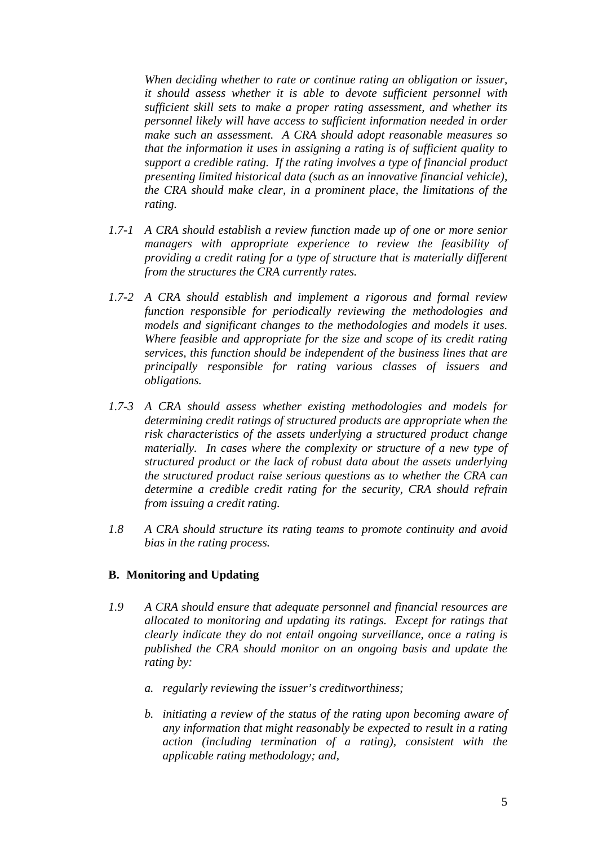*When deciding whether to rate or continue rating an obligation or issuer, it should assess whether it is able to devote sufficient personnel with sufficient skill sets to make a proper rating assessment, and whether its personnel likely will have access to sufficient information needed in order make such an assessment. A CRA should adopt reasonable measures so that the information it uses in assigning a rating is of sufficient quality to support a credible rating. If the rating involves a type of financial product presenting limited historical data (such as an innovative financial vehicle), the CRA should make clear, in a prominent place, the limitations of the rating.* 

- *1.7-1 A CRA should establish a review function made up of one or more senior managers with appropriate experience to review the feasibility of providing a credit rating for a type of structure that is materially different from the structures the CRA currently rates.*
- *1.7-2 A CRA should establish and implement a rigorous and formal review function responsible for periodically reviewing the methodologies and models and significant changes to the methodologies and models it uses. Where feasible and appropriate for the size and scope of its credit rating services, this function should be independent of the business lines that are principally responsible for rating various classes of issuers and obligations.*
- *1.7-3 A CRA should assess whether existing methodologies and models for determining credit ratings of structured products are appropriate when the risk characteristics of the assets underlying a structured product change materially. In cases where the complexity or structure of a new type of structured product or the lack of robust data about the assets underlying the structured product raise serious questions as to whether the CRA can determine a credible credit rating for the security, CRA should refrain from issuing a credit rating.*
- *1.8 A CRA should structure its rating teams to promote continuity and avoid bias in the rating process.*

## **B. Monitoring and Updating**

- *1.9 A CRA should ensure that adequate personnel and financial resources are allocated to monitoring and updating its ratings. Except for ratings that clearly indicate they do not entail ongoing surveillance, once a rating is published the CRA should monitor on an ongoing basis and update the rating by:* 
	- *a. regularly reviewing the issuer's creditworthiness;*
	- *b. initiating a review of the status of the rating upon becoming aware of any information that might reasonably be expected to result in a rating action (including termination of a rating), consistent with the applicable rating methodology; and,*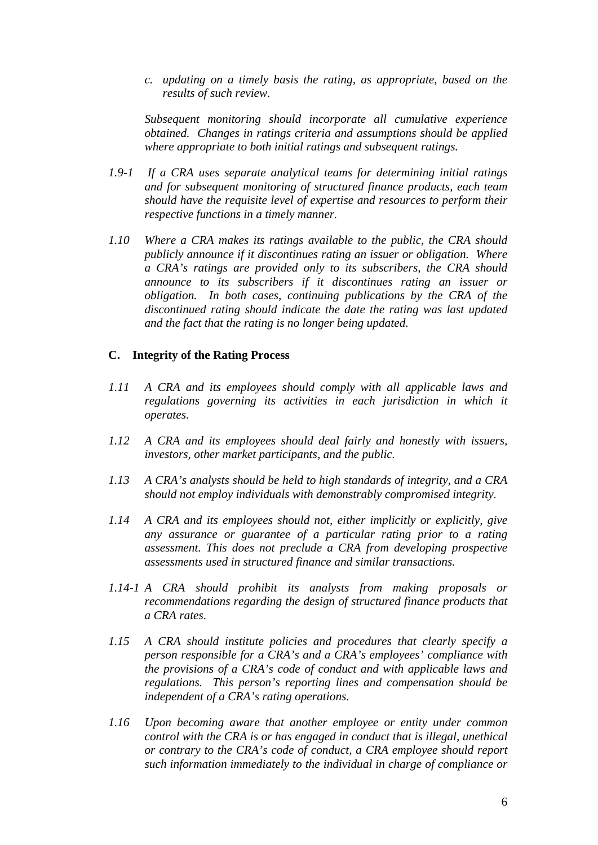*c. updating on a timely basis the rating, as appropriate, based on the results of such review.* 

*Subsequent monitoring should incorporate all cumulative experience obtained. Changes in ratings criteria and assumptions should be applied where appropriate to both initial ratings and subsequent ratings.* 

- *1.9-1 If a CRA uses separate analytical teams for determining initial ratings and for subsequent monitoring of structured finance products, each team should have the requisite level of expertise and resources to perform their respective functions in a timely manner.*
- *1.10 Where a CRA makes its ratings available to the public, the CRA should publicly announce if it discontinues rating an issuer or obligation. Where a CRA's ratings are provided only to its subscribers, the CRA should announce to its subscribers if it discontinues rating an issuer or obligation. In both cases, continuing publications by the CRA of the discontinued rating should indicate the date the rating was last updated and the fact that the rating is no longer being updated.*

#### **C. Integrity of the Rating Process**

- *1.11 A CRA and its employees should comply with all applicable laws and regulations governing its activities in each jurisdiction in which it operates.*
- *1.12 A CRA and its employees should deal fairly and honestly with issuers, investors, other market participants, and the public.*
- *1.13 A CRA's analysts should be held to high standards of integrity, and a CRA should not employ individuals with demonstrably compromised integrity.*
- *1.14 A CRA and its employees should not, either implicitly or explicitly, give any assurance or guarantee of a particular rating prior to a rating assessment. This does not preclude a CRA from developing prospective assessments used in structured finance and similar transactions.*
- *1.14-1 A CRA should prohibit its analysts from making proposals or recommendations regarding the design of structured finance products that a CRA rates.*
- *1.15 A CRA should institute policies and procedures that clearly specify a person responsible for a CRA's and a CRA's employees' compliance with the provisions of a CRA's code of conduct and with applicable laws and regulations. This person's reporting lines and compensation should be independent of a CRA's rating operations.*
- *1.16 Upon becoming aware that another employee or entity under common control with the CRA is or has engaged in conduct that is illegal, unethical or contrary to the CRA's code of conduct, a CRA employee should report such information immediately to the individual in charge of compliance or*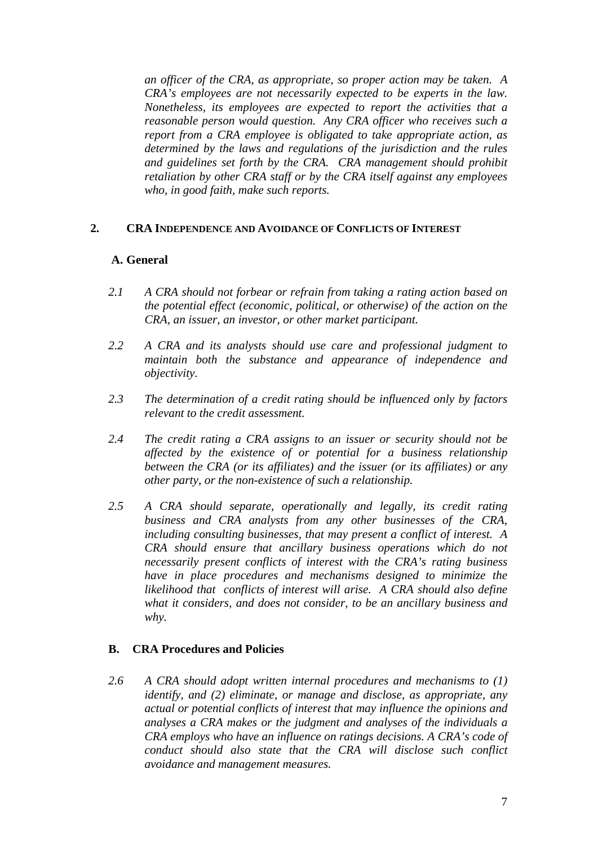*an officer of the CRA, as appropriate, so proper action may be taken. A CRA's employees are not necessarily expected to be experts in the law. Nonetheless, its employees are expected to report the activities that a reasonable person would question. Any CRA officer who receives such a report from a CRA employee is obligated to take appropriate action, as determined by the laws and regulations of the jurisdiction and the rules and guidelines set forth by the CRA. CRA management should prohibit retaliation by other CRA staff or by the CRA itself against any employees who, in good faith, make such reports.*

## **2. CRA INDEPENDENCE AND AVOIDANCE OF CONFLICTS OF INTEREST**

# **A. General**

- *2.1 A CRA should not forbear or refrain from taking a rating action based on the potential effect (economic, political, or otherwise) of the action on the CRA, an issuer, an investor, or other market participant.*
- *2.2 A CRA and its analysts should use care and professional judgment to maintain both the substance and appearance of independence and objectivity.*
- *2.3 The determination of a credit rating should be influenced only by factors relevant to the credit assessment.*
- *2.4 The credit rating a CRA assigns to an issuer or security should not be affected by the existence of or potential for a business relationship between the CRA (or its affiliates) and the issuer (or its affiliates) or any other party, or the non-existence of such a relationship.*
- *2.5 A CRA should separate, operationally and legally, its credit rating business and CRA analysts from any other businesses of the CRA, including consulting businesses, that may present a conflict of interest. A CRA should ensure that ancillary business operations which do not necessarily present conflicts of interest with the CRA's rating business have in place procedures and mechanisms designed to minimize the likelihood that conflicts of interest will arise. A CRA should also define what it considers, and does not consider, to be an ancillary business and why.*

# **B. CRA Procedures and Policies**

*2.6 A CRA should adopt written internal procedures and mechanisms to (1) identify, and (2) eliminate, or manage and disclose, as appropriate, any actual or potential conflicts of interest that may influence the opinions and analyses a CRA makes or the judgment and analyses of the individuals a CRA employs who have an influence on ratings decisions. A CRA's code of conduct should also state that the CRA will disclose such conflict avoidance and management measures.*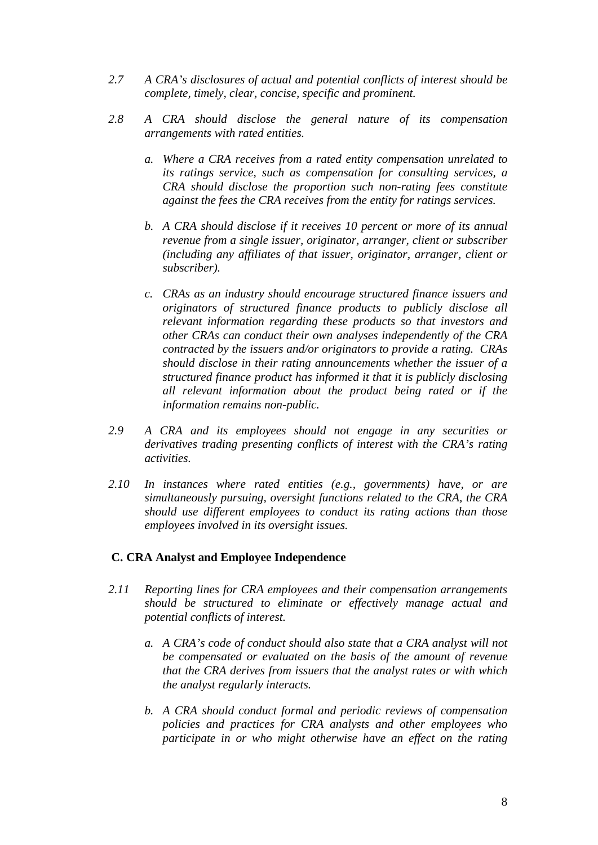- *2.7 A CRA's disclosures of actual and potential conflicts of interest should be complete, timely, clear, concise, specific and prominent.*
- *2.8 A CRA should disclose the general nature of its compensation arrangements with rated entities.* 
	- *a. Where a CRA receives from a rated entity compensation unrelated to its ratings service, such as compensation for consulting services, a CRA should disclose the proportion such non-rating fees constitute against the fees the CRA receives from the entity for ratings services.*
	- *b. A CRA should disclose if it receives 10 percent or more of its annual revenue from a single issuer, originator, arranger, client or subscriber (including any affiliates of that issuer, originator, arranger, client or subscriber).*
	- *c. CRAs as an industry should encourage structured finance issuers and originators of structured finance products to publicly disclose all relevant information regarding these products so that investors and other CRAs can conduct their own analyses independently of the CRA contracted by the issuers and/or originators to provide a rating. CRAs should disclose in their rating announcements whether the issuer of a structured finance product has informed it that it is publicly disclosing all relevant information about the product being rated or if the information remains non-public.*
- *2.9 A CRA and its employees should not engage in any securities or derivatives trading presenting conflicts of interest with the CRA's rating activities.*
- *2.10 In instances where rated entities (e.g., governments) have, or are simultaneously pursuing, oversight functions related to the CRA, the CRA should use different employees to conduct its rating actions than those employees involved in its oversight issues.*

## **C. CRA Analyst and Employee Independence**

- *2.11 Reporting lines for CRA employees and their compensation arrangements should be structured to eliminate or effectively manage actual and potential conflicts of interest.* 
	- *a. A CRA's code of conduct should also state that a CRA analyst will not be compensated or evaluated on the basis of the amount of revenue that the CRA derives from issuers that the analyst rates or with which the analyst regularly interacts.*
	- *b. A CRA should conduct formal and periodic reviews of compensation policies and practices for CRA analysts and other employees who participate in or who might otherwise have an effect on the rating*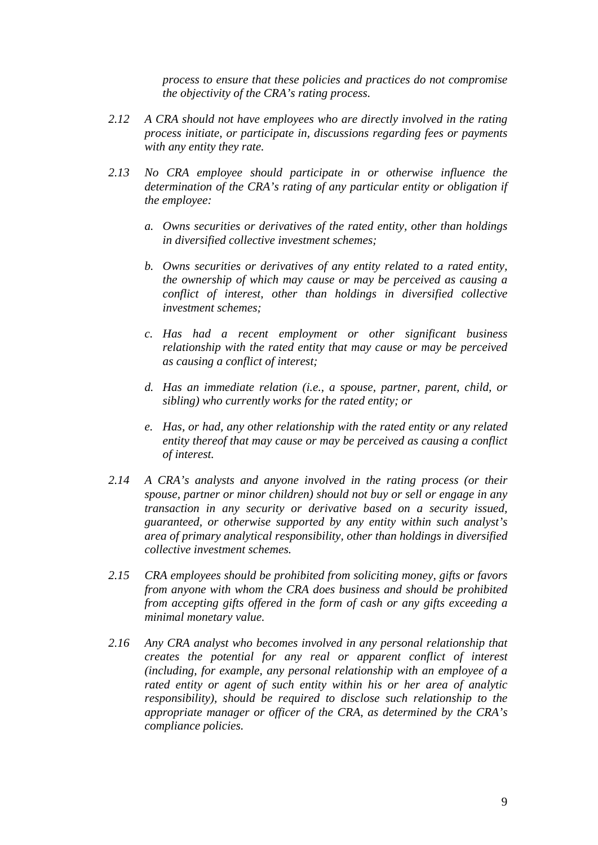*process to ensure that these policies and practices do not compromise the objectivity of the CRA's rating process.* 

- *2.12 A CRA should not have employees who are directly involved in the rating process initiate, or participate in, discussions regarding fees or payments with any entity they rate.*
- *2.13 No CRA employee should participate in or otherwise influence the determination of the CRA's rating of any particular entity or obligation if the employee:* 
	- *a. Owns securities or derivatives of the rated entity, other than holdings in diversified collective investment schemes;*
	- *b. Owns securities or derivatives of any entity related to a rated entity, the ownership of which may cause or may be perceived as causing a conflict of interest, other than holdings in diversified collective investment schemes;*
	- *c. Has had a recent employment or other significant business relationship with the rated entity that may cause or may be perceived as causing a conflict of interest;*
	- *d. Has an immediate relation (i.e., a spouse, partner, parent, child, or sibling) who currently works for the rated entity; or*
	- *e. Has, or had, any other relationship with the rated entity or any related entity thereof that may cause or may be perceived as causing a conflict of interest.*
- *2.14 A CRA's analysts and anyone involved in the rating process (or their spouse, partner or minor children) should not buy or sell or engage in any transaction in any security or derivative based on a security issued, guaranteed, or otherwise supported by any entity within such analyst's area of primary analytical responsibility, other than holdings in diversified collective investment schemes.*
- *2.15 CRA employees should be prohibited from soliciting money, gifts or favors from anyone with whom the CRA does business and should be prohibited from accepting gifts offered in the form of cash or any gifts exceeding a minimal monetary value.*
- *2.16 Any CRA analyst who becomes involved in any personal relationship that creates the potential for any real or apparent conflict of interest (including, for example, any personal relationship with an employee of a rated entity or agent of such entity within his or her area of analytic responsibility), should be required to disclose such relationship to the appropriate manager or officer of the CRA, as determined by the CRA's compliance policies.*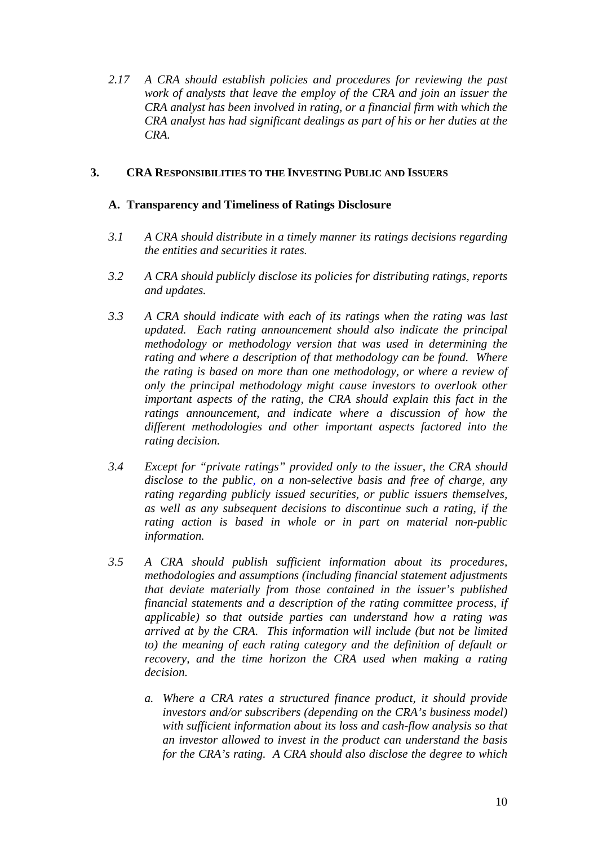*2.17 A CRA should establish policies and procedures for reviewing the past work of analysts that leave the employ of the CRA and join an issuer the CRA analyst has been involved in rating, or a financial firm with which the CRA analyst has had significant dealings as part of his or her duties at the CRA.* 

# **3. CRA RESPONSIBILITIES TO THE INVESTING PUBLIC AND ISSUERS**

## **A. Transparency and Timeliness of Ratings Disclosure**

- *3.1 A CRA should distribute in a timely manner its ratings decisions regarding the entities and securities it rates.*
- *3.2 A CRA should publicly disclose its policies for distributing ratings, reports and updates.*
- *3.3 A CRA should indicate with each of its ratings when the rating was last updated. Each rating announcement should also indicate the principal methodology or methodology version that was used in determining the rating and where a description of that methodology can be found. Where the rating is based on more than one methodology, or where a review of only the principal methodology might cause investors to overlook other important aspects of the rating, the CRA should explain this fact in the ratings announcement, and indicate where a discussion of how the different methodologies and other important aspects factored into the rating decision.*
- *3.4 Except for "private ratings" provided only to the issuer, the CRA should disclose to the public, on a non-selective basis and free of charge, any rating regarding publicly issued securities, or public issuers themselves, as well as any subsequent decisions to discontinue such a rating, if the rating action is based in whole or in part on material non-public information.*
- *3.5 A CRA should publish sufficient information about its procedures, methodologies and assumptions (including financial statement adjustments that deviate materially from those contained in the issuer's published financial statements and a description of the rating committee process, if applicable) so that outside parties can understand how a rating was arrived at by the CRA. This information will include (but not be limited to) the meaning of each rating category and the definition of default or recovery, and the time horizon the CRA used when making a rating decision.* 
	- *a. Where a CRA rates a structured finance product, it should provide investors and/or subscribers (depending on the CRA's business model) with sufficient information about its loss and cash-flow analysis so that an investor allowed to invest in the product can understand the basis for the CRA's rating. A CRA should also disclose the degree to which*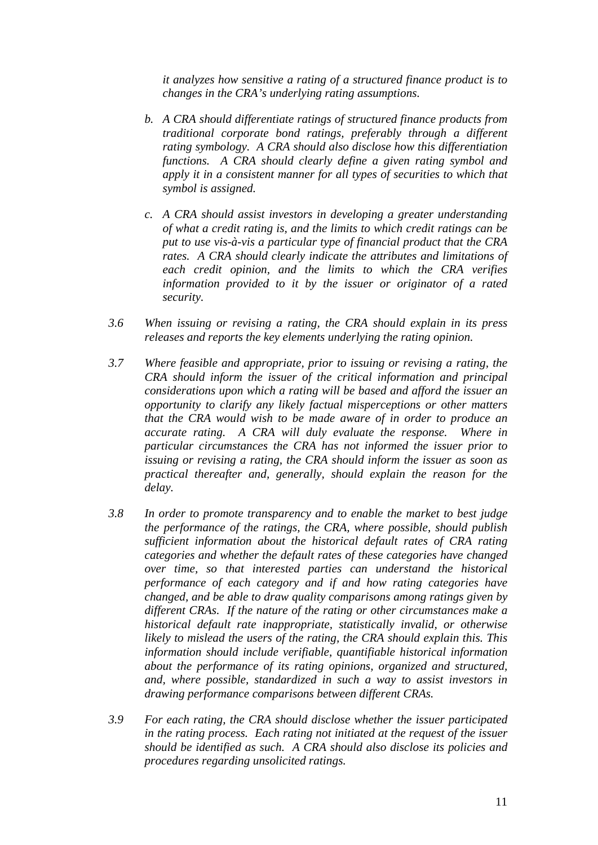*it analyzes how sensitive a rating of a structured finance product is to changes in the CRA's underlying rating assumptions.* 

- *b. A CRA should differentiate ratings of structured finance products from traditional corporate bond ratings, preferably through a different rating symbology. A CRA should also disclose how this differentiation functions. A CRA should clearly define a given rating symbol and apply it in a consistent manner for all types of securities to which that symbol is assigned.*
- *c. A CRA should assist investors in developing a greater understanding of what a credit rating is, and the limits to which credit ratings can be put to use vis-à-vis a particular type of financial product that the CRA rates. A CRA should clearly indicate the attributes and limitations of each credit opinion, and the limits to which the CRA verifies information provided to it by the issuer or originator of a rated security.*
- *3.6 When issuing or revising a rating, the CRA should explain in its press releases and reports the key elements underlying the rating opinion.*
- *3.7 Where feasible and appropriate, prior to issuing or revising a rating, the CRA should inform the issuer of the critical information and principal considerations upon which a rating will be based and afford the issuer an opportunity to clarify any likely factual misperceptions or other matters that the CRA would wish to be made aware of in order to produce an accurate rating. A CRA will duly evaluate the response. Where in particular circumstances the CRA has not informed the issuer prior to issuing or revising a rating, the CRA should inform the issuer as soon as practical thereafter and, generally, should explain the reason for the delay.*
- *3.8 In order to promote transparency and to enable the market to best judge the performance of the ratings, the CRA, where possible, should publish sufficient information about the historical default rates of CRA rating categories and whether the default rates of these categories have changed over time, so that interested parties can understand the historical performance of each category and if and how rating categories have changed, and be able to draw quality comparisons among ratings given by different CRAs. If the nature of the rating or other circumstances make a historical default rate inappropriate, statistically invalid, or otherwise likely to mislead the users of the rating, the CRA should explain this. This information should include verifiable, quantifiable historical information about the performance of its rating opinions, organized and structured, and, where possible, standardized in such a way to assist investors in drawing performance comparisons between different CRAs.*
- *3.9 For each rating, the CRA should disclose whether the issuer participated in the rating process. Each rating not initiated at the request of the issuer should be identified as such. A CRA should also disclose its policies and procedures regarding unsolicited ratings.*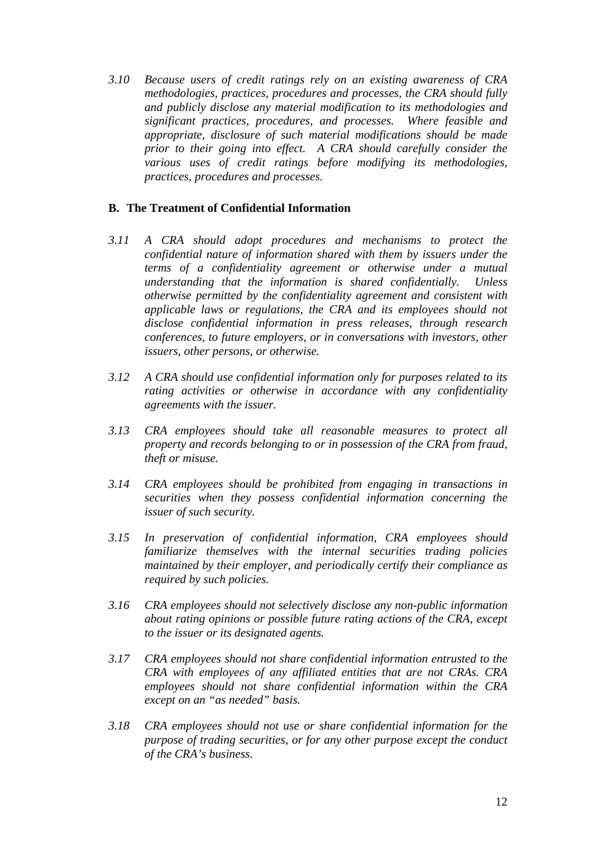*3.10 Because users of credit ratings rely on an existing awareness of CRA methodologies, practices, procedures and processes, the CRA should fully and publicly disclose any material modification to its methodologies and significant practices, procedures, and processes. Where feasible and appropriate, disclosure of such material modifications should be made prior to their going into effect. A CRA should carefully consider the various uses of credit ratings before modifying its methodologies, practices, procedures and processes.* 

# **B. The Treatment of Confidential Information**

- *3.11 A CRA should adopt procedures and mechanisms to protect the confidential nature of information shared with them by issuers under the terms of a confidentiality agreement or otherwise under a mutual understanding that the information is shared confidentially. Unless otherwise permitted by the confidentiality agreement and consistent with applicable laws or regulations, the CRA and its employees should not disclose confidential information in press releases, through research conferences, to future employers, or in conversations with investors, other issuers, other persons, or otherwise.*
- *3.12 A CRA should use confidential information only for purposes related to its rating activities or otherwise in accordance with any confidentiality agreements with the issuer.*
- *3.13 CRA employees should take all reasonable measures to protect all property and records belonging to or in possession of the CRA from fraud, theft or misuse.*
- *3.14 CRA employees should be prohibited from engaging in transactions in securities when they possess confidential information concerning the issuer of such security.*
- *3.15 In preservation of confidential information, CRA employees should familiarize themselves with the internal securities trading policies maintained by their employer, and periodically certify their compliance as required by such policies.*
- *3.16 CRA employees should not selectively disclose any non-public information about rating opinions or possible future rating actions of the CRA, except to the issuer or its designated agents.*
- *3.17 CRA employees should not share confidential information entrusted to the CRA with employees of any affiliated entities that are not CRAs. CRA employees should not share confidential information within the CRA except on an "as needed" basis.*
- *3.18 CRA employees should not use or share confidential information for the purpose of trading securities, or for any other purpose except the conduct of the CRA's business.*